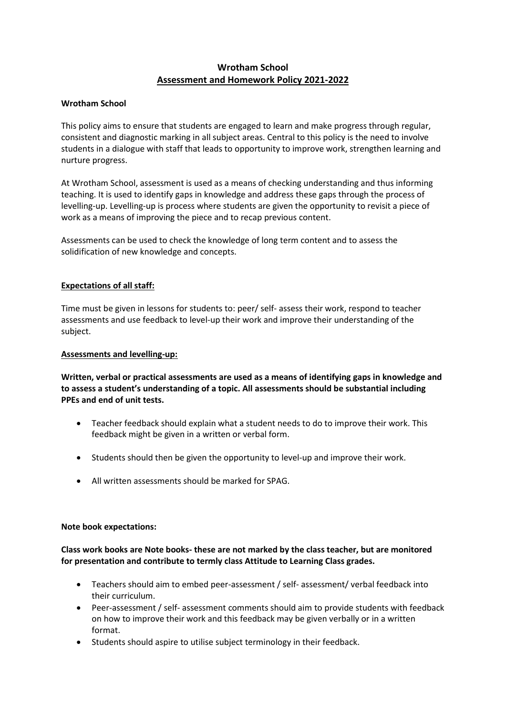# **Wrotham School Assessment and Homework Policy 2021-2022**

## **Wrotham School**

This policy aims to ensure that students are engaged to learn and make progress through regular, consistent and diagnostic marking in all subject areas. Central to this policy is the need to involve students in a dialogue with staff that leads to opportunity to improve work, strengthen learning and nurture progress.

At Wrotham School, assessment is used as a means of checking understanding and thus informing teaching. It is used to identify gaps in knowledge and address these gaps through the process of levelling-up. Levelling-up is process where students are given the opportunity to revisit a piece of work as a means of improving the piece and to recap previous content.

Assessments can be used to check the knowledge of long term content and to assess the solidification of new knowledge and concepts.

## **Expectations of all staff:**

Time must be given in lessons for students to: peer/ self- assess their work, respond to teacher assessments and use feedback to level-up their work and improve their understanding of the subject.

### **Assessments and levelling-up:**

**Written, verbal or practical assessments are used as a means of identifying gaps in knowledge and to assess a student's understanding of a topic. All assessments should be substantial including PPEs and end of unit tests.**

- Teacher feedback should explain what a student needs to do to improve their work. This feedback might be given in a written or verbal form.
- Students should then be given the opportunity to level-up and improve their work.
- All written assessments should be marked for SPAG.

#### **Note book expectations:**

## **Class work books are Note books- these are not marked by the class teacher, but are monitored for presentation and contribute to termly class Attitude to Learning Class grades.**

- Teachers should aim to embed peer-assessment / self- assessment/ verbal feedback into their curriculum.
- Peer-assessment / self- assessment comments should aim to provide students with feedback on how to improve their work and this feedback may be given verbally or in a written format.
- Students should aspire to utilise subject terminology in their feedback.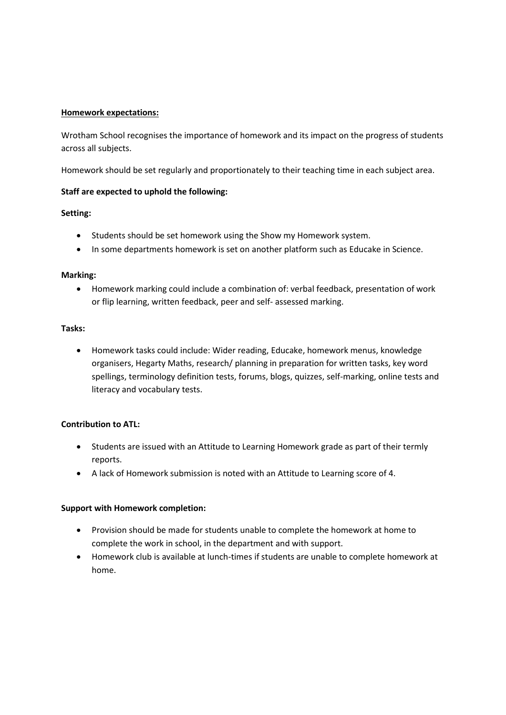### **Homework expectations:**

Wrotham School recognises the importance of homework and its impact on the progress of students across all subjects.

Homework should be set regularly and proportionately to their teaching time in each subject area.

## **Staff are expected to uphold the following:**

## **Setting:**

- Students should be set homework using the Show my Homework system.
- In some departments homework is set on another platform such as Educake in Science.

#### **Marking:**

 Homework marking could include a combination of: verbal feedback, presentation of work or flip learning, written feedback, peer and self- assessed marking.

## **Tasks:**

 Homework tasks could include: Wider reading, Educake, homework menus, knowledge organisers, Hegarty Maths, research/ planning in preparation for written tasks, key word spellings, terminology definition tests, forums, blogs, quizzes, self-marking, online tests and literacy and vocabulary tests.

#### **Contribution to ATL:**

- Students are issued with an Attitude to Learning Homework grade as part of their termly reports.
- A lack of Homework submission is noted with an Attitude to Learning score of 4.

#### **Support with Homework completion:**

- Provision should be made for students unable to complete the homework at home to complete the work in school, in the department and with support.
- Homework club is available at lunch-times if students are unable to complete homework at home.